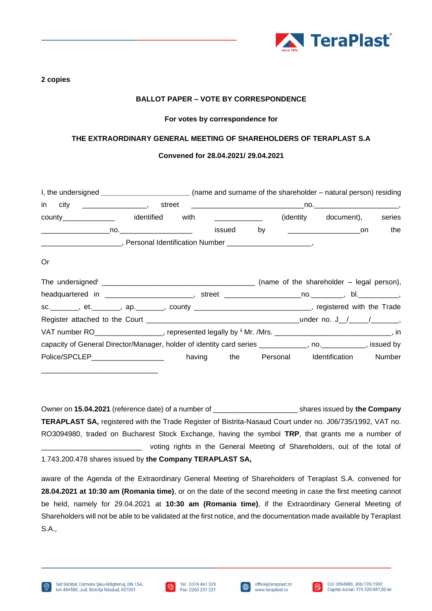

#### **2 copies**

## **BALLOT PAPER – VOTE BY CORRESPONDENCE**

## **For votes by correspondence for**

## **THE EXTRAORDINARY GENERAL MEETING OF SHAREHOLDERS OF TERAPLAST S.A**

#### **Convened for 28.04.2021/ 29.04.2021**

|    | I, the undersigned _________________________(name and surname of the shareholder – natural person) residing    |  |  |  |                             |     |
|----|----------------------------------------------------------------------------------------------------------------|--|--|--|-----------------------------|-----|
|    |                                                                                                                |  |  |  |                             |     |
|    | county_________________ identified with _____________                                                          |  |  |  | (identity document), series |     |
|    |                                                                                                                |  |  |  |                             | the |
|    |                                                                                                                |  |  |  |                             |     |
| 0r |                                                                                                                |  |  |  |                             |     |
|    |                                                                                                                |  |  |  |                             |     |
|    | headquartered in ________________________, street ______________________________, bl. _____________,           |  |  |  |                             |     |
|    | sc.________, et.________, ap._______, county _______________________________, registered with the Trade        |  |  |  |                             |     |
|    |                                                                                                                |  |  |  |                             |     |
|    | VAT number RO___________________, represented legally by $^{\#}$ Mr. /Mrs. _______________________________, in |  |  |  |                             |     |
|    | capacity of General Director/Manager, holder of identity card series ___________, no. __________, issued by    |  |  |  |                             |     |
|    | Police/SPCLEP___________________ having the Personal Identification Number                                     |  |  |  |                             |     |

Owner on **15.04.2021** (reference date) of a number of \_\_\_\_\_\_\_\_\_\_\_\_\_\_\_\_\_\_\_\_\_ shares issued by **the Company TERAPLAST SA,** registered with the Trade Register of Bistrita-Nasaud Court under no. J06/735/1992, VAT no. RO3094980, traded on Bucharest Stock Exchange, having the symbol **TRP**, that grants me a number of voting rights in the General Meeting of Shareholders, out of the total of 1.743.200.478 shares issued by **the Company TERAPLAST SA,**

aware of the Agenda of the Extraordinary General Meeting of Shareholders of Teraplast S.A. convened for **28.04.2021 at 10:30 am (Romania time)**, or on the date of the second meeting in case the first meeting cannot be held, namely for 29.04.2021 at **10:30 am (Romania time)**, if the Extraordinary General Meeting of Shareholders will not be able to be validated at the first notice, and the documentation made available by Teraplast S.A.,

\_\_\_\_\_\_\_\_\_\_\_\_\_\_\_\_\_\_\_\_\_\_\_\_\_\_\_\_\_





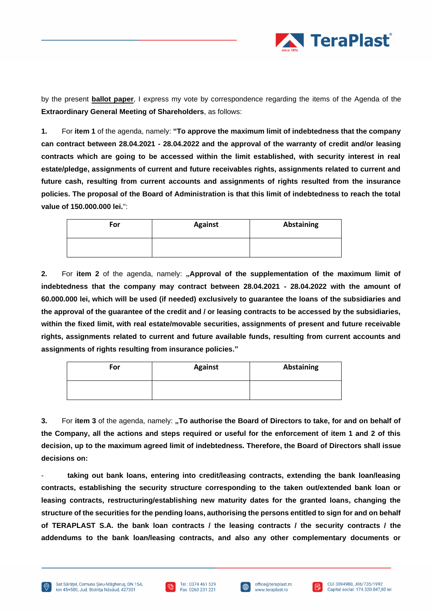

by the present **ballot paper**, I express my vote by correspondence regarding the items of the Agenda of the **Extraordinary General Meeting of Shareholders**, as follows:

**1.** For **item 1** of the agenda, namely: **"To approve the maximum limit of indebtedness that the company can contract between 28.04.2021 - 28.04.2022 and the approval of the warranty of credit and/or leasing contracts which are going to be accessed within the limit established, with security interest in real estate/pledge, assignments of current and future receivables rights, assignments related to current and future cash, resulting from current accounts and assignments of rights resulted from the insurance policies. The proposal of the Board of Administration is that this limit of indebtedness to reach the total value of 150.000.000 lei.**":

| For | <b>Against</b> | Abstaining |
|-----|----------------|------------|
|     |                |            |

**2.** For item 2 of the agenda, namely: "Approval of the supplementation of the maximum limit of **indebtedness that the company may contract between 28.04.2021 - 28.04.2022 with the amount of 60.000.000 lei, which will be used (if needed) exclusively to guarantee the loans of the subsidiaries and the approval of the guarantee of the credit and / or leasing contracts to be accessed by the subsidiaries, within the fixed limit, with real estate/movable securities, assignments of present and future receivable rights, assignments related to current and future available funds, resulting from current accounts and assignments of rights resulting from insurance policies."**

| For | <b>Against</b> | Abstaining |
|-----|----------------|------------|
|     |                |            |

**3.** For item 3 of the agenda, namely: "To authorise the Board of Directors to take, for and on behalf of **the Company, all the actions and steps required or useful for the enforcement of item 1 and 2 of this decision, up to the maximum agreed limit of indebtedness. Therefore, the Board of Directors shall issue decisions on:** 

taking out bank loans, entering into credit/leasing contracts, extending the bank loan/leasing **contracts, establishing the security structure corresponding to the taken out/extended bank loan or leasing contracts, restructuring/establishing new maturity dates for the granted loans, changing the structure of the securities for the pending loans, authorising the persons entitled to sign for and on behalf of TERAPLAST S.A. the bank loan contracts / the leasing contracts / the security contracts / the addendums to the bank loan/leasing contracts, and also any other complementary documents or** 





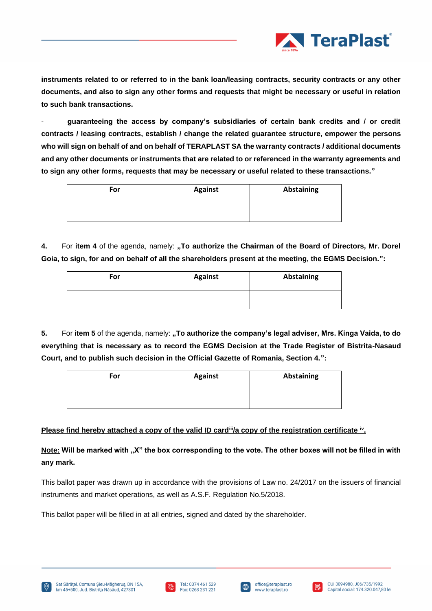

**instruments related to or referred to in the bank loan/leasing contracts, security contracts or any other documents, and also to sign any other forms and requests that might be necessary or useful in relation to such bank transactions.**

- **guaranteeing the access by company's subsidiaries of certain bank credits and / or credit contracts / leasing contracts, establish / change the related guarantee structure, empower the persons who will sign on behalf of and on behalf of TERAPLAST SA the warranty contracts / additional documents and any other documents or instruments that are related to or referenced in the warranty agreements and to sign any other forms, requests that may be necessary or useful related to these transactions."**

| For | <b>Against</b> | Abstaining |
|-----|----------------|------------|
|     |                |            |

**4.** For **item 4** of the agenda, namely: **"To authorize the Chairman of the Board of Directors, Mr. Dorel Goia, to sign, for and on behalf of all the shareholders present at the meeting, the EGMS Decision.":**

| For | <b>Against</b> | Abstaining |
|-----|----------------|------------|
|     |                |            |

**5.** For item 5 of the agenda, namely: **"To authorize the company's legal adviser, Mrs. Kinga Vaida, to do <b>b everything that is necessary as to record the EGMS Decision at the Trade Register of Bistrita-Nasaud Court, and to publish such decision in the Official Gazette of Romania, Section 4.":**

| For | <b>Against</b> | Abstaining |
|-----|----------------|------------|
|     |                |            |

# **Please find hereby attached a copy of the valid ID card<sup>ii</sup>/a copy of the registration certificate <sup>iv</sup>.**

**Note: Will be marked with "X" the box corresponding to the vote. The other boxes will not be filled in with any mark.** 

This ballot paper was drawn up in accordance with the provisions of Law no. 24/2017 on the issuers of financial instruments and market operations, as well as A.S.F. Regulation No.5/2018.

This ballot paper will be filled in at all entries, signed and dated by the shareholder.







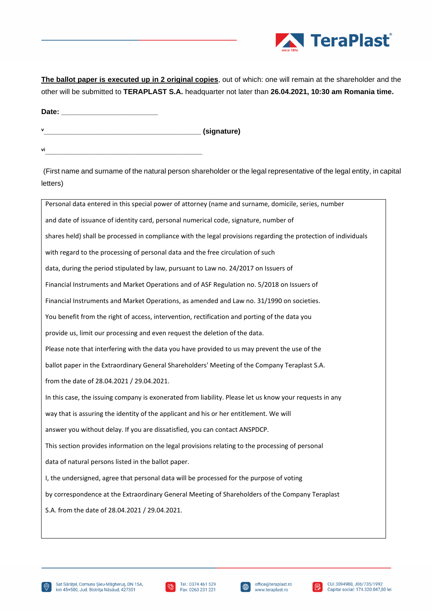

**The ballot paper is executed up in 2 original copies**, out of which: one will remain at the shareholder and the other will be submitted to **TERAPLAST S.A.** headquarter not later than **26.04.2021, 10:30 am Romania time.** 

Date:

**<sup>v</sup>\_\_\_\_\_\_\_\_\_\_\_\_\_\_\_\_\_\_\_\_\_\_\_\_\_\_\_\_\_\_\_\_\_\_\_\_\_\_\_ (signature) vi\_\_\_\_\_\_\_\_\_\_\_\_\_\_\_\_\_\_\_\_\_\_\_\_\_\_\_\_\_\_\_\_\_\_\_\_\_\_\_**

(First name and surname of the natural person shareholder or the legal representative of the legal entity, in capital letters)

| Personal data entered in this special power of attorney (name and surname, domicile, series, number             |
|-----------------------------------------------------------------------------------------------------------------|
| and date of issuance of identity card, personal numerical code, signature, number of                            |
| shares held) shall be processed in compliance with the legal provisions regarding the protection of individuals |
| with regard to the processing of personal data and the free circulation of such                                 |
| data, during the period stipulated by law, pursuant to Law no. 24/2017 on Issuers of                            |
| Financial Instruments and Market Operations and of ASF Regulation no. 5/2018 on Issuers of                      |
| Financial Instruments and Market Operations, as amended and Law no. 31/1990 on societies.                       |
| You benefit from the right of access, intervention, rectification and porting of the data you                   |
| provide us, limit our processing and even request the deletion of the data.                                     |
| Please note that interfering with the data you have provided to us may prevent the use of the                   |
| ballot paper in the Extraordinary General Shareholders' Meeting of the Company Teraplast S.A.                   |
| from the date of 28.04.2021 / 29.04.2021.                                                                       |
| In this case, the issuing company is exonerated from liability. Please let us know your requests in any         |
| way that is assuring the identity of the applicant and his or her entitlement. We will                          |
| answer you without delay. If you are dissatisfied, you can contact ANSPDCP.                                     |
| This section provides information on the legal provisions relating to the processing of personal                |
| data of natural persons listed in the ballot paper.                                                             |
| I, the undersigned, agree that personal data will be processed for the purpose of voting                        |
| by correspondence at the Extraordinary General Meeting of Shareholders of the Company Teraplast                 |
| S.A. from the date of 28.04.2021 / 29.04.2021.                                                                  |
|                                                                                                                 |